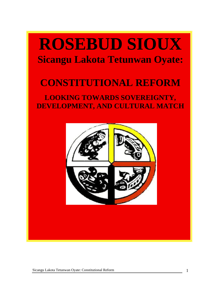# **ROSEBUD SIOUX Sicangu Lakota Tetunwan Oyate:**

## **CONSTITUTIONAL REFORM**

### **LOOKING TOWARDS SOVEREIGNTY, DEVELOPMENT, AND CULTURAL MATCH**

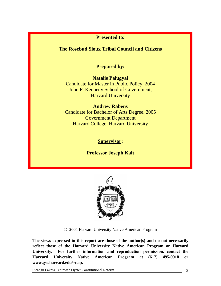### **Presented to:**

**The Rosebud Sioux Tribal Council and Citizens** 

### **Prepared by:**

**Natalie Palugyai**  Candidate for Master in Public Policy, 2004 John F. Kennedy School of Government, Harvard University

### **Andrew Rabens**

Candidate for Bachelor of Arts Degree, 2005 Government Department Harvard College, Harvard University

### **Supervisor:**

**Professor Joseph Kalt**



**© 2004** Harvard University Native American Program

**The views expressed in this report are those of the author(s) and do not necessarily reflect those of the Harvard University Native American Program or Harvard University. For further information and reproduction permission, contact the Harvard University Native American Program at (617) 495-9918 or www.gse.harvard.edu/~nap.**

Sicangu Lakota Tetunwan Oyate: Constitutional Reform 2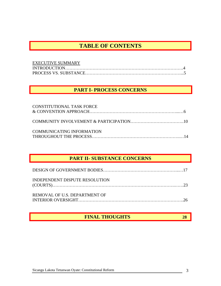### **TABLE OF CONTENTS**

| <b>EXECUTIVE SUMMARY</b> |  |
|--------------------------|--|
|                          |  |
|                          |  |

### **PART I- PROCESS CONCERNS**

| <b>CONSTITUTIONAL TASK FORCE</b> |  |
|----------------------------------|--|
|                                  |  |
| COMMUNICATING INFORMATION        |  |

### **PART II- SUBSTANCE CONCERNS**

| INDEPENDENT DISPUTE RESOLUTION |  |
|--------------------------------|--|
| REMOVAL OF U.S. DEPARTMENT OF  |  |

### **FINAL THOUGHTS** 28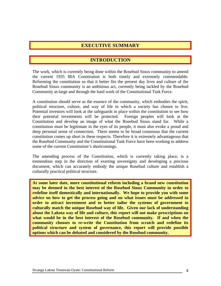### **EXECUTIVE SUMMARY**

### **INTRODUCTION**

The work, which is currently being done within the Rosebud Sioux community to amend the current 1935 IRA Constitution is both timely and extremely commendable. Reforming the constitution so that it better fits the present day lives and culture of the Rosebud Sioux community is an ambitious act, currently being tackled by the Rosebud Community at-large and through the hard work of the Constitutional Task Force.

A constitution should serve as the essence of the community, which embodies the spirit, political structure, culture, and way of life in which a society has chosen to live. Potential investors will look at the safeguards in place within the constitution to see how their potential investments will be protected. Foreign peoples will look at the Constitution and develop an image of what the Rosebud Sioux stand for. While a constitution must be legitimate in the eyes of its people, it must also evoke a proud and deep personal sense of connection. There seems to be broad consensus that the current constitution comes up short in these respects. Therefore it is extremely advantageous that the Rosebud Community and the Constitutional Task Force have been working to address some of the current Constitution's shortcomings.

The amending process of the Constitution, which is currently taking place, is a tremendous step in the direction of exerting sovereignty and developing a precious document, which can accurately embody the unique Rosebud culture and establish a culturally practical political structure.

**At some later date, more constitutional reform including a brand new constitution may be deemed in the best interest of the Rosebud Sioux Community in order to redefine itself domestically and internationally. We hope to provide you with some advice on how to get the process going and on what issues must be addressed in order to attract investment and to better tailor the systems of government to culturally match the unique Rosebud way of life. Given our lack of understanding about the Lakota way of life and culture, this report will not make prescriptions on what would be in the best interest of the Rosebud community. If and when the community chooses to re-write the Constitution from scratch and redefine its political structure and system of governance, this report will provide possible options which can be debated and considered by the Rosebud community.**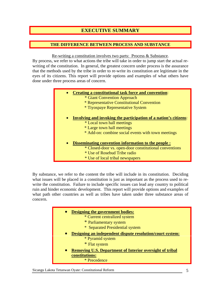### **EXECUTIVE SUMMARY**

#### **THE DIFFERENCE BETWEEN PROCESS AND SUBSTANCE**

Re-writing a constitution involves two parts: Process & Substance.

By process, we refer to what actions the tribe will take in order to jump start the actual rewriting of the constitution. In general, the greatest concern under process is the assurance that the methods used by the tribe in order to re-write its constitution are legitimate in the eyes of its citizens. This report will provide options and examples of what others have done under three process areas of concern.

|           | <b>Creating a constitutional task force and convention:</b>      |
|-----------|------------------------------------------------------------------|
|           | * Giant Convention Approach                                      |
|           | * Representative Constitutional Convention                       |
|           | * Tiyospaye Representative System                                |
|           |                                                                  |
| $\bullet$ | Involving and invoking the participation of a nation's citizens: |
|           | * Local town hall meetings                                       |
|           | * Large town hall meetings                                       |
|           | * Add-on: combine social events with town meetings               |
|           |                                                                  |
| $\bullet$ | Disseminating convention information to the people :             |
|           | * Closed-door vs. open-door constitutional conventions           |
|           | * Use of Rosebud Tribe radio                                     |
|           | * Use of local tribal newspapers                                 |

By substance, we refer to the content the tribe will include in its constitution. Deciding what issues will be placed in a constitution is just as important as the process used to rewrite the constitution. Failure to include specific issues can lead any country to political ruin and hinder economic development. This report will provide options and examples of what path other countries as well as tribes have taken under three substance areas of concern.

| <b>Designing the government bodies:</b>                         |
|-----------------------------------------------------------------|
| * Current centralized system                                    |
| * Parliamentary system                                          |
| * Separated Presidential system                                 |
| Designing an independent dispute resolution/court system:       |
| * Pyramid system                                                |
| * Flat system                                                   |
| <b>Removing U.S. Department of Interior oversight of tribal</b> |
| constitutions:                                                  |
| * Precedence                                                    |
|                                                                 |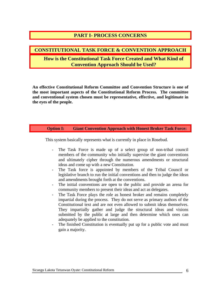### **PART I- PROCESS CONCERNS**

#### **CONSTITUTIONAL TASK FORCE & CONVENTION APPROACH**

### **How is the Constitutional Task Force Created and What Kind of Convention Approach Should be Used?**

**An effective Constitutional Reform Committee and Convention Structure is one of the most important aspects of the Constitutional Reform Process. The committee and conventional system chosen must be representative, effective, and legitimate in the eyes of the people.** 

#### **Option I: Giant Convention Approach with Honest Broker Task Force:**

This system basically represents what is currently in place in Rosebud.

- The Task Force is made up of a select group of non-tribal council members of the community who initially supervise the giant conventions and ultimately cipher through the numerous amendments or structural ideas and come up with a new Constitution.
- The Task force is appointed by members of the Tribal Council or legislative branch to run the initial conventions and then to judge the ideas and amendments brought forth at the conventions.
- The initial conventions are open to the public and provide an arena for community members to present their ideas and act as delegates.
- The Task Force plays the role as honest broker and remains completely impartial during the process. They do not serve as primary authors of the Constitutional text and are not even allowed to submit ideas themselves. They impartially gather and judge the structural ideas and visions submitted by the public at large and then determine which ones can adequately be applied to the constitution.
- The finished Constitution is eventually put up for a public vote and must gain a majority.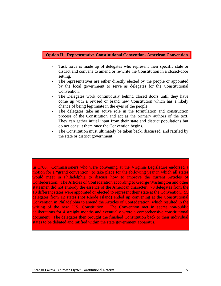#### **Option II: Representative Constitutional Convention- American Convention**

- Task force is made up of delegates who represent their specific state or district and convene to amend or re-write the Constitution in a closed-door setting.
- The representatives are either directly elected by the people or appointed by the local government to serve as delegates for the Constitutional Convention.
- The Delegates work continuously behind closed doors until they have come up with a revised or brand new Constitution which has a likely chance of being legitimate in the eyes of the people.
- The delegates take an active role in the formulation and construction process of the Constitution and act as the primary authors of the text. They can gather initial input from their state and district populations but do not consult them once the Convention begins.
- The Constitution must ultimately be taken back, discussed, and ratified by the state or district government.

In 1786: Commissioners who were convening at the Virginia Legislature endorsed a motion for a "grand convention" to take place for the following year in which all states would meet in Philadelphia to discuss how to improve the current Articles of Confederation. The Articles of Confederation according to George Washington and other statesmen did not embody the essence of the American character. 70 delegates from the 13 different states were appointed or elected to represent their state at the Convention. 55 delegates from 12 states (not Rhode Island) ended up convening at the Constitutional Convention in Philadelphia to amend the Articles of Confederation, which resulted in the writing of the new U.S. Constitution. The Convention met in secret non-public deliberations for 4 straight months and eventually wrote a comprehensive constitutional document. The delegates then brought the finished Constitution back to their individual states to be debated and ratified within the state government apparatus.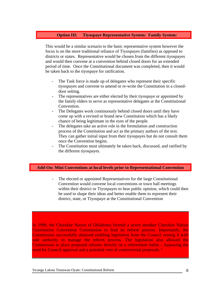#### **Option III: Tiyospaye Representative System: Family System:**

This would be a similar scenario to the basic representative system however the focus is on the more traditional reliance of Tiyospayes (families) as opposed to districts or states. Representative would be chosen from the different tiyospayes and would then convene at a convention behind closed doors for an extended period of time. Once the Constitutional document was completed, then it would be taken back to the tiyospaye for ratification.

- The Task force is made up of delegates who represent their specific tiyospayes and convene to amend or re-write the Constitution in a closeddoor setting.
- The representatives are either elected by their tiyospaye or appointed by the family elders to serve as representative delegates at the Constitutional Convention.
- The Delegates work continuously behind closed doors until they have come up with a revised or brand new Constitution which has a likely chance of being legitimate in the eyes of the people.
- The delegates take an active role in the formulation and construction process of the Constitution and act as the primary authors of the text. They can gather initial input from their tiyospayes but do not consult them once the Convention begins.
- The Constitution must ultimately be taken back, discussed, and ratified by the different tiyospayes.

#### **Add-On: Mini Conventions at local levels prior to Representational Convention**

The elected or appointed Representatives for the large Constitutional Convention would convene local conventions or town hall meetings within their district or Tiyospayes to hear public opinion, which could then be used to shape their ideas and better enable them to represent their district, state, or Tiyospaye at the Constitutional Convention

In 1999, the Cherokee Nation of Oklahoma formed a seven member Cherokee Nation Constitution Convention Commission to lead its reform process. Importantly, the Commission successfully obtained enabling legislation from the Council vesting it with sole authority to manage the reform process. The legislation also allowed the Commission to place proposed reforms directly on a referendum ballot – bypassing the need for Council approval and a potential veto of controversial proposals.<sup>1</sup>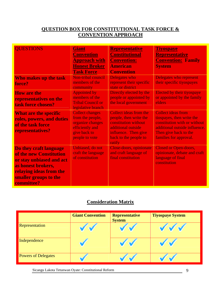### **QUESTION BOX FOR CONSTITUTIONAL TASK FORCE & CONVENTION APPROACH**

| <b>OUESTIONS</b>                                                                                                                                                      | <b>Giant</b><br><b>Convention</b><br><b>Approach with</b><br><b>Honest Broker</b><br><b>Task Force</b>              | <b>Representative</b><br><b>Constitutional</b><br><b>Convention:</b><br><b>American</b><br><b>Convention</b>                                              | <u>Tiyospaye</u><br><b>Representative</b><br><b>Convention: Family</b><br><b>System</b>                                                                                    |
|-----------------------------------------------------------------------------------------------------------------------------------------------------------------------|---------------------------------------------------------------------------------------------------------------------|-----------------------------------------------------------------------------------------------------------------------------------------------------------|----------------------------------------------------------------------------------------------------------------------------------------------------------------------------|
| Who makes up the task<br>force?                                                                                                                                       | Non-tribal council<br>members of the<br>community                                                                   | <b>Delegates who</b><br>represent their specific<br>state or district                                                                                     | <b>Delegates who represent</b><br>their specific tiyospayes                                                                                                                |
| <b>How are the</b><br>representatives on the<br>task force chosen?                                                                                                    | <b>Appointed by</b><br>members of the<br><b>Tribal Council or</b><br>legislative branch                             | Directly elected by the<br>people or appointed by<br>the local government                                                                                 | Elected by their tiyospaye<br>or appointed by the family<br>elders                                                                                                         |
| <b>What are the specific</b><br>roles, powers, and duties<br>of the task force<br>representatives?                                                                    | <b>Collect changes</b><br>from the people,<br>organize changes<br>efficiently and<br>give back to<br>people to vote | Collect ideas from the<br>people, then write the<br>constitution without<br>additional outside<br>influence. Then give<br>back to the people to<br>ratify | <b>Collect ideas from</b><br>tiospayes, then write the<br>constitution with or without<br>additional outside influence.<br>Then give back to the<br>families for approval. |
| Do they craft language<br>of the new Constitution<br>or stay unbiased and act<br>as honest brokers,<br>relaying ideas from the<br>smaller groups to the<br>committee? | Unbiased, do not<br>craft the language<br>of constitution                                                           | Close-doors, opinionate<br>and craft language of<br>final constitution                                                                                    | <b>Closed or Open-doors,</b><br>opinionate, debate and craft<br>language of final<br>constitution                                                                          |

### **Consideration Matrix**

|                            | <b>Giant Convention</b> | <b>Representative</b><br><b>System</b> | <b>Tiyospaye System</b> |
|----------------------------|-------------------------|----------------------------------------|-------------------------|
| Representation             |                         |                                        |                         |
| Independence               |                         |                                        |                         |
| <b>Powers of Delegates</b> |                         |                                        |                         |

Sicangu Lakota Tetunwan Oyate: Constitutional Reform 9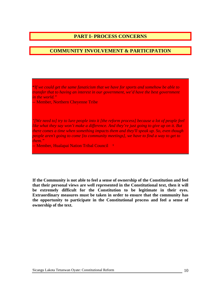### **PART I- PROCESS CONCERNS**

#### **COMMUNITY INVOLVEMENT & PARTICIPATION**

**"***If we could get the same fanaticism that we have for sports and somehow be able to transfer that to having an interest in our government, we'd have the best government in the world."* 

-- Member, Northern Cheyenne Tribe

*"[We need to] try to lure people into it [the reform process] because a lot of people feel like what they say won't make a difference. And they're just going to give up on it. But there comes a time when something impacts them and they'll speak up. So, even though people aren't going to come [to community meetings], we have to find a way to get to them."* 

*--* Member, Hualapai Nation Tribal Council ¹

**If the Community is not able to feel a sense of ownership of the Constitution and feel that their personal views are well represented in the Constitutional text, then it will be extremely difficult for the Constitution to be legitimate in their eyes. Extraordinary measures must be taken in order to ensure that the community has the opportunity to participate in the Constitutional process and feel a sense of ownership of the text.**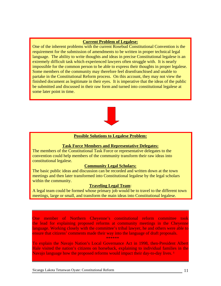#### **Current Problem of Legalese:**

One of the inherent problems with the current Rosebud Constitutional Convention is the requirement for the submission of amendments to be written in proper technical legal language. The ability to write thoughts and ideas in precise Constitutional legalese is an extremely difficult task which experienced lawyers often struggle with. It is nearly impossible for the common person to be able to express their thoughts in proper legalese. Some members of the community may therefore feel disenfranchised and unable to partake in the Constitutional Reform process. On this account, they may not view the finished document as legitimate in their eyes. It is imperative that the ideas of the public be submitted and discussed in their raw form and turned into constitutional legalese at some later point in time.



#### **Possible Solutions to Legalese Problem:**

#### **Task Force Members and Representative Delegates:**

The members of the Constitutional Task Force or representative delegates to the convention could help members of the community transform their raw ideas into constitutional legalese.

#### **Community Legal Scholars:**

The basic public ideas and discussion can be recorded and written down at the town meetings and then later transformed into Constitutional legalese by the legal scholars within the community.

#### **Traveling Legal Team**:

A legal team could be formed whose primary job would be to travel to the different town meetings, large or small, and transform the main ideas into Constitutional legalese.

One member of Northern Cheyenne's constitutional reform committee took the lead for explaining proposed reforms at community meetings in the Cheyenne language. Working closely with the committee's tribal lawyer, he and others were able to ensure that citizens' comments made their way into the language of draft proposals. \*\*\*\*\*\*

To explain the Navajo Nation's Local Governance Act in 1998, then-President Albert Hale visited the nation's citizens on horseback, explaining to individual families in the Navajo language how the proposed reforms would impact their day-to-day lives.<sup>1</sup>

Sicangu Lakota Tetunwan Oyate: Constitutional Reform 11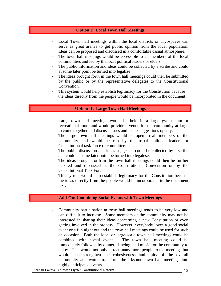#### **Option I: Local Town Hall Meetings**

- Local Town hall meetings within the local districts or Tiyospayes can serve as great arenas to get public opinion from the local population. Ideas can be proposed and discussed in a comfortable casual atmosphere.
- The town hall meetings would be accessible to all members of the local communities and led by the local political leaders or elders.
- The public information and ideas could be collected by a scribe and could at some later point be turned into legalize
- The ideas brought forth in the town hall meetings could then be submitted by the public or by the representative delegates to the Constitutional Convention.
- This system would help establish legitimacy for the Constitution because the ideas directly from the people would be incorporated in the document.

#### **Option II: Large Town Hall Meetings**

- Large town hall meetings would be held in a large gymnasium or recreational room and would provide a venue for the community at large to come together and discuss issues and make suggestions openly.
- The large town hall meetings would be open to all members of the community and would be run by the tribal political leaders or Constitutional task force or committee.
- The public discussion and ideas suggested could be collected by a scribe and could at some later point be turned into legalese.
- The ideas brought forth in the town hall meetings could then be further debated and discussed at the Constitutional Convention or by the Constitutional Task Force.
- This system would help establish legitimacy for the Constitution because the ideas directly from the people would be incorporated in the document text.

#### **Add-On: Combining Social Events with Town Meetings**

- Community participation at town hall meetings tends to be very low and can difficult to increase. Some members of the community may not be interested in sharing their ideas concerning a new Constitution or even getting involved in the process. However, everybody loves a good social event or a fun night out and the town hall meetings could be used for such an occasion. Both the local or large-scale town hall meetings could be combined with social events. The town hall meeting could be immediately followed by dinner, dancing, and music for the community to enjoy. This would not only attract many more people to the meetings but would also strengthen the cohesiveness and unity of the overall community and would transform the irksome town hall meetings into highly anticipated events.

Sicangu Lakota Tetunwan Oyate: Constitutional Reform 12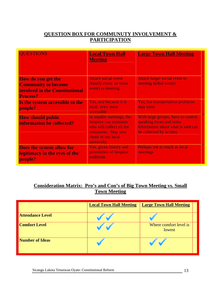### **QUESTION BOX FOR COMMUNUTY INVOLVEMENT & PARTICIPATION**

| <b>QUESTIONS</b>                                                                          | <b>Local Town Hall</b><br><b>Meeting</b>                                                                                                 | <b>Large Town Hall Meeting</b>                                                                                                    |
|-------------------------------------------------------------------------------------------|------------------------------------------------------------------------------------------------------------------------------------------|-----------------------------------------------------------------------------------------------------------------------------------|
| <b>How do you get the</b><br><b>Community to become</b><br>involved in the Constitutional | <b>Attach social event</b><br>(family event or town)<br>event) to meeting                                                                | <b>Attach larger social event to</b><br>meeting (tribal event)                                                                    |
| <b>Process?</b>                                                                           |                                                                                                                                          |                                                                                                                                   |
| Is the system accessible to the<br>people?                                                | Yes, and because it is<br>local, even more<br>accessible                                                                                 | <b>Yes, but transportation problems</b><br>may exist                                                                              |
| <b>How should public</b><br>information be collected?                                     | In smaller meetings, the<br>tiospaye can nominate<br>who will collect all the<br>comments. May also<br>chose to use local<br>university. | With large groups, have to control<br>speaking times and order.<br>Information about what is said can<br>be collected by scribes. |
| <b>Does the system allow for</b><br>legitimacy in the eyes of the<br>people?              | Yes, given history and<br>persistence of tiospaye<br>traditions                                                                          | Perhaps not as much as local<br>meetings                                                                                          |

### **Consideration Matrix: Pro's and Con's of Big Town Meeting vs. Small Town Meeting**

|                         | <b>Local Town Hall Meeting</b> | <b>Large Town Hall Meeting</b>   |  |
|-------------------------|--------------------------------|----------------------------------|--|
| <b>Attendance Level</b> |                                |                                  |  |
| <b>Comfort Level</b>    |                                | Where comfort level is<br>lowest |  |
| <b>Number of Ideas</b>  |                                |                                  |  |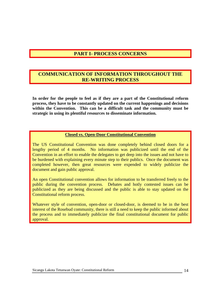### **PART I- PROCESS CONCERNS**

### **COMMUNICATION OF INFORMATION THROUGHOUT THE RE-WRITING PROCESS**

**In order for the people to feel as if they are a part of the Constitutional reform process, they have to be constantly updated on the current happenings and decisions within the Convention. This can be a difficult task and the community must be strategic in using its plentiful resources to disseminate information.** 

#### **Closed vs. Open-Door Constitutional Convention**

The US Constitutional Convention was done completely behind closed doors for a lengthy period of 4 months. No information was publicized until the end of the Convention in an effort to enable the delegates to get deep into the issues and not have to be burdened with explaining every minute step to their publics. Once the document was completed however, then great resources were expended to widely publicize the document and gain public approval.

An open Constitutional convention allows for information to be transferred freely to the public during the convention process. Debates and hotly contested issues can be publicized as they are being discussed and the public is able to stay updated on the Constitutional reform process.

Whatever style of convention, open-door or closed-door, is deemed to be in the best interest of the Rosebud community, there is still a need to keep the public informed about the process and to immediately publicize the final constitutional document for public approval.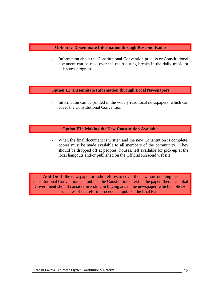#### **Option I: Disseminate Information through Rosebud Radio**

Information about the Constitutional Convention process or Constitutional document can be read over the radio during breaks in the daily music or talk show programs.

#### **Option II: Disseminate Information through Local Newspapers**

- Information can be printed in the widely read local newspapers, which can cover the Constitutional Convention.

#### **Option III: Making the New Constitution Available**

When the final document is written and the new Constitution is complete, copies must be made available to all members of the community. They should be dropped off at peoples' houses, left available for pick-up at the local hangouts and/or published on the Official Rosebud website.

**Add-On:** If the newspaper or radio refuses to cover the news surrounding the Constitutional Convention and publish the Constitutional text in the paper, then the Tribal Government should consider investing in buying ads in the newspaper, which publicize updates of the reform process and publish the final text.

.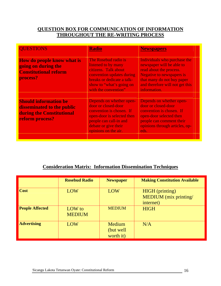### **QUESTION BOX FOR COMMUNICATION OF INFORMATION THROUGHOUT THE RE-WRITING PROCESS**

| <b>QUESTIONS</b>                                                                                           | <b>Radio</b>                                                                                                                                                                        | <b>Newspapers</b>                                                                                                                                                                                         |  |
|------------------------------------------------------------------------------------------------------------|-------------------------------------------------------------------------------------------------------------------------------------------------------------------------------------|-----------------------------------------------------------------------------------------------------------------------------------------------------------------------------------------------------------|--|
| <b>How do people know what is</b><br>going on during the<br><b>Constitutional reform</b><br>process?       | The Rosebud radio is<br>listened to by many<br>citizens. Talk about<br>convention updates during<br>breaks or dedicate a talk-<br>show to "what's going on<br>with the convention"  | Individuals who purchase the<br>newspaper will be able to<br>read about the process.<br><b>Negative to newspapers is</b><br>that many do not buy paper<br>and therefore will not get this<br>information. |  |
| <b>Should information be</b><br>disseminated to the public<br>during the Constitutional<br>reform process? | Depends on whether open-<br>door or closed-door<br>convention is chosen. If<br>open-door is selected then<br>people can call-in and<br>debate or give their<br>opinions on the air. | Depends on whether open-<br>door or closed-door<br>convention is chosen. If<br>open-door selected then<br>people can comment their<br>opinions through articles, op-<br>eds.                              |  |

### **Consideration Matrix: Information Dissemination Techniques**

|                        | <b>Rosebud Radio</b>    | <b>Newspaper</b>                 | <b>Making Constitution Available</b>                         |
|------------------------|-------------------------|----------------------------------|--------------------------------------------------------------|
| <b>Cost</b>            | LOW                     | LOW                              | <b>HIGH</b> (printing)<br>MEDIUM (mix printing/<br>internet) |
| <b>People Affected</b> | LOW to<br><b>MEDIUM</b> | <b>MEDIUM</b>                    | <b>HIGH</b>                                                  |
| <b>Advertising</b>     | LOW                     | Medium<br>(but well<br>worth it) | N/A                                                          |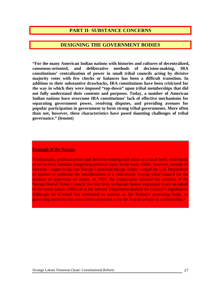### **PART II- SUBSTANCE CONCERNS**

#### **DESIGNING THE GOVERNMENT BODIES**

**"For the many American Indian nations with histories and cultures of decentralized, consensus-oriented, and deliberative methods of decision-making, IRA constitutions' centralization of power in small tribal councils acting by divisive majority votes with few checks or balances has been a difficult transition. In addition to their substantive drawbacks, IRA constitutions have been criticized for the way in which they were imposed "top-down" upon tribal memberships that did not fully understand their contents and purposes. Today, a number of American Indian nations have overcome IRA constitutions' lack of effective mechanisms for separating government power, resolving disputes, and providing avenues for popular participation in government to form strong tribal governments. More often than not, however, these characteristics have posed daunting challenges of tribal governance." (lemont)** 

#### **Example of the Navajo**

Traditionally, political power and decision-making took place at a local level, with bands of ten to forty families comprising political units. In the early 1920s, however, outside oil interests – eager to tap into Navajo's potential energy riches – urged the U.S. Department of Interior to authorize the establishment of a centralized, Navajo tribal council for the purpose of approving oil leases. In 1923, the Department initiated the creation of the Navajo Nation Tribal Council, the first body in Navajo history organized to act on behalf of the entire nation. Officials at the Interior Department drafted the Council's regulations. Although the Council has continued to operate as the Nation's governing body, its governing authority has never been consented to by the Navajo people in a referendum.<sup>1</sup>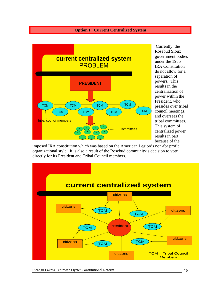#### **Option I: Current Centralized System**



 Currently, the Rosebud Sioux government b odies under the 1935 IRA Consti tution do not allow for a separation of powers. This results in the centralization of power within the President, who presides over tri bal council meetin gs, and oversees th e tribal committe es. This system of centralized power results in p art because of the

imposed IRA constitution which was based on the American Legion's non-for profit organizational style. It is also a result of the Rosebud community's decision to vote directly for its President and Tribal Council members.

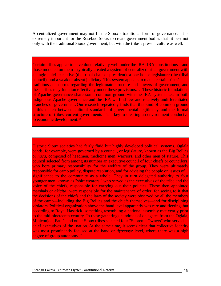A centralized government may not fit the Sioux's traditional form of governance. It is extremely important for the Rosebud Sioux to create government bodies that fit best not only with the traditional Sioux government, but with the tribe's present culture as well.

Certain tribes appear to have done relatively well under the IRA. IRA constitutions—and those modeled on them—typically created a system of centralized tribal government with a single chief executive (the tribal chair or president), a one-house legislature (the tribal council), and a weak or absent judiciary. This system appears to match certain tribes' traditions and norms regarding the legitimate structure and powers of government, and these tribes may function effectively under these provisions… These historic foundations of Apache governance share some common ground with the IRA system, i.e., in both indigenous Apache governance and the IRA we find few and relatively undifferentiated branches of government. Our research repeatedly finds that this kind of common ground —this match between cultural standards of governmental legitimacy and the formal structure of tribes' current governments—is a key to creating an environment conducive to economic development. ²

Historic Sioux societies had fairly fluid but highly developed political systems. Oglala bands, for example, were governed by a council, or legislature, known as the Big Bellies or *naca,* composed of headmen, medicine men, warriors, and other men of stature. This council selected from among its number an executive council of four chiefs or councilors, who bore primary responsibility for the welfare of the group. They were ultimately responsible for camp policy, dispute resolution, and for advising the people on issues of significance to the community as a whole. They in turn delegated authority to four younger men, known as "shirt wearers," who served as the executives of the tribe and the voice of the chiefs, responsible for carrying out their policies. These then appointed marshals or *akicita* were responsible for the maintenance of order, for seeing to it that the decisions of the chiefs and the laws of the society were observed by all the members of the camp—including the Big Bellies and the chiefs themselves—and for disciplining violators. Political organization above the band level apparently was rare and fleeting, but according to Royal Hassrick, something resembling a national assembly met yearly prior to the mid-nineteenth century. In these gatherings hundreds of delegates from the Oglala, Miniconjou, Brulé, and other Sioux tribes selected four "Supreme Owners" who served as chief executives of the nation. At the same time, it seems clear that collective identity was most prominently focused at the band or *tiyospaye* level, where there was a high degree of group autonomy.<sup>2</sup>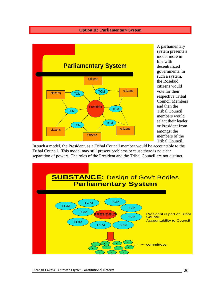#### **Option II: Parliamentary System**



A parliamentary system presents a model more in line with decentralized governments. In such a system, the Rosebud citizens would vote for their respective Tribal Council M embers and then the Tribal Council members would select their leader or Preside nt from amongst the members of th e Tribal Council.

In such a model, the President, as a Tribal Council member would be accountable to the Tribal Council. This model may still present problems because there is no clear separation of powers. The roles of the President and the Tribal Council are not distinct.

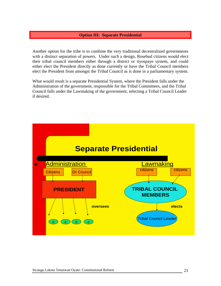#### **Option III: Separate Presidential**

Another option for the tribe is to combine the very traditional decentralized governments with a distinct separation of powers. Under such a design, Rosebud citizens would elect their tribal council members either through a district or tiyospaye system, and could either elect the President directly as done currently or have the Tribal Council members elect the President from amongst the Tribal Council as is done in a parliamentary system.

What would result is a separate Presidential System, where the President falls under the Administration of the government, responsible for the Tribal Committees, and the Tribal Council falls under the Lawmaking of the government, selecting a Tribal Council Leader if desired.

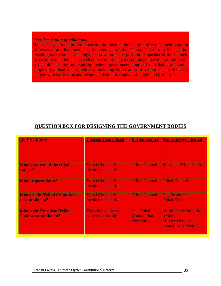#### *Cherokee Nation of Oklahoma*

Major changes in the proposed constitution include the addition of two Council seats for off reservation tribal members, the removal of the Deputy Chief from his position presiding over Council meetings, the creation of the position of Speaker of the Council, the creation of an independent election commission, term limits, removal of all references in the old constitution requiring federal government approval of tribal laws, and a complete overhaul of the judiciary, including the creation of a Court on the Judiciary charged with suspension and recommendation of removal of judges and justices.<sup>1</sup>

### **QUESTION BOX FOR DESIGNING THE GOVERNMENT BODIES**

| <b>QUESTIONS</b>                                                   | <b>Current Centralized</b>                                  | <b>Parliamentary</b>                                   | <b>Separate Presidential</b>                                                                  |
|--------------------------------------------------------------------|-------------------------------------------------------------|--------------------------------------------------------|-----------------------------------------------------------------------------------------------|
| Who is control of the tribal<br>budget?                            | <b>Tribal Council &amp;</b><br><b>President</b> == conflict | <b>Tribal Council</b>                                  | <b>President/Tribal Chair</b>                                                                 |
| <b>Who proposes laws?</b>                                          | <b>Tribal Council &amp;</b><br><b>President</b> == conflict | <b>Tribal Council</b>                                  | <b>Tribal Council</b>                                                                         |
| <b>Who are the Tribal Committees</b><br>accountable to?            | <b>Tribal Council &amp;</b><br><b>President</b> == conflict | <b>Tribal Council</b>                                  | The President/<br><b>Tribal Chair</b>                                                         |
| <b>Who is the President/Tribal</b><br><b>Chair accountable to?</b> | The tribe's citizens<br>who voted for him                   | <b>The Tribal</b><br><b>Council that</b><br>elects him | *If direct election: the<br>people<br><i>*If elected by tribal</i><br>council: tribal council |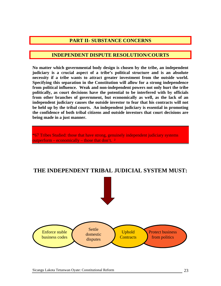### **PART II- SUBSTANCE CONCERNS**

#### **INDEPENDENT DISPUTE RESOLUTION/COURTS**

**No matter which governmental body design is chosen by the tribe, an independent judiciary is a crucial aspect of a tribe's political structure and is an absolute necessity if a tribe wants to attract greater investment from the outside world. Specifying this separation in the Constitution will allow for a strong independence from political influence. Weak and non-independent powers not only hurt the tribe politically, as court decisions have the potential to be interfered with by officials from other branches of government, but economically as well, as the lack of an independent judiciary causes the outside investor to fear that his contracts will not be held up by the tribal courts. An independent judiciary is essential in promoting the confidence of both tribal citizens and outside investors that court decisions are being made in a just manner.** 

**"**67 Tribes Studied: those that have strong, genuinely independent judiciary systems outperform – economically – those that don't.<sup>2</sup>

### **THE INDEPENDENT TRIBAL JUDICIAL SYSTEM MUST:**

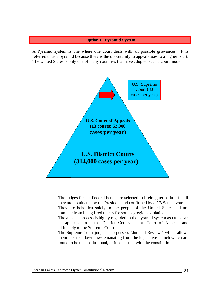#### **Option I: Pyramid System**

A Pyramid system is one where one court deals with all possible grievances. It is referred to as a pyramid because there is the opportunity to appeal cases to a higher court. The United States is only one of many countries that have adopted such a court model.



- The judges for the Federal bench are selected to lifelong terms in office if they are nominated by the President and confirmed by a 2/3 Senate vote
- They are beholden solely to the people of the United States and are immune from being fired unless for some egregious violation
- The appeals process is highly regarded in the pyramid system as cases can be appealed from the District Courts to the Court of Appeals and ultimately to the Supreme Court
- The Supreme Court judges also possess "Judicial Review," which allows them to strike down laws emanating from the legislative branch which are found to be unconstitutional, or inconsistent with the constitution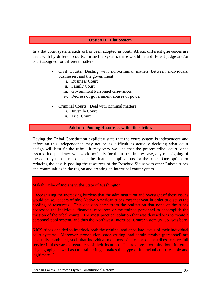#### **Option II: Flat System**

In a flat court system, such as has been adopted in South Africa, different grievances are dealt with by different courts. In such a system, there would be a different judge and/or court assigned for different matters:

- Civil Courts: Dealing with non-criminal matters between individuals, businesses, and the government
	- i. Business Court
	- ii. Family Court
	- iii. Government Personnel Grievances
	- iv. Redress of government abuses of power
- Criminal Courts: Deal with criminal matters
	- i. Juvenile Court
	- ii. Trial Court

#### **Add-on: Pooling Resources with other tribes**

Having the Tribal Constitution explicitly state that the court system is independent and enforcing this independence may not be as difficult as actually deciding what court design will best fit the tribe. It may very well be that the present tribal court, once assured independence will work perfectly for the tribe. In any case, any redesigning of the court system must consider the financial implications for the tribe. One option for reducing the cost is pooling the resources of the Rosebud Sioux with other Lakota tribes and communities in the region and creating an intertribal court system.

#### Makah Tribe of Indians v. the State of Washington

"Recognizing the increasing burdens that the administration and oversight of these issues would cause, leaders of nine Native American tribes met that year in order to discuss the pooling of resources. This decision came from the realization that none of the tribes possessed the individual financial resources or the trained personnel to accomplish the mission of the tribal courts. The most practical solution that was devised was to create a personnel pool system, and thus the Northwest Intertribal Court System (NICS) was born.

NICS tribes decided to interlock both the original and appellate levels of their individual court systems. Moreover, prosecution, code writing, and administrative (personnel) are also fully combined, such that individual members of any one of the tribes receive full service in these areas regardless of their location. The relative proximity, both in terms of geography as well as cultural heritage, makes this type of intertribal court feasible and legitimate.<sup>3</sup>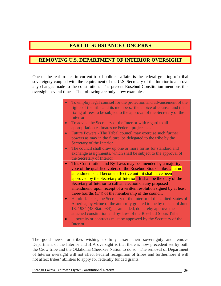### **PART II- SUBSTANCE CONCERNS**

### **REMOVING U.S. DEPARTMENT OF INTERIOR OVERSIGHT**

One of the real ironies in current tribal political affairs is the federal granting of tribal sovereignty coupled with the requirement of the U.S. Secretary of the Interior to approve any changes made to the constitution. The present Rosebud Constitution mentions this oversight several times. The following are only a few examples:

- To employ legal counsel for the protection and advancement of the rights of the tribe and its members, the choice of counsel and the fixing of fees to be subject to the approval of the Secretary of the Interior
- To advise the Secretary of the Interior with regard to all appropriation estimates or Federal projects….
- Future Powers The Tribal council may exercise such further powers as may in the future be delegated to the tribe by the Secretary of the Interior
- The council shall draw up one or more forms for standard and exchange assignments, which shall be subject to the approval of the Secretary of Interior
- This Constitution and By-Laws may be amended by a majority vote of the qualified voters of the Rosebud Sioux Tribe…but no amendment shall become effective until it shall have been approved by the Secretary of Interior. It shall be the duty of the Secretary of Interior to call an election on any proposed amendment, upon receipt of a written resolution signed by at least three-fourths (3/4) of the membership of the council.
- Harold I. Ickes, the Secretary of the Interior of the United States of America, by virtue of the authority granted to me by the act of June 18, 1934 (48 Stat. 984), as amended, do hereby approve the attached constitution and by-laws of the Rosebud Sioux Tribe.
- …permits or contracts must be approved by the Secretary of the **Interior**

The good news for tribes wishing to fully assert their sovereignty and remove Department of the Interior and BIA oversight is that there is now precedent set by both the Crow tribe and the Oklahoma Cherokee Nation to do so. The removal of Department of Interior oversight will not affect Federal recognition of tribes and furthermore it will not affect tribes' abilities to apply for federally funded grants.

Sicangu Lakota Tetunwan Oyate: Constitutional Reform 26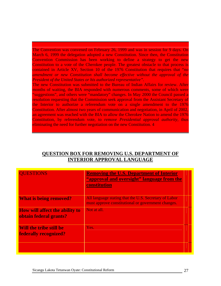The Convention was convened on February 26, 1999 and was in session for 9 days. On March 6, 1999 the delegation adopted a new Constitution. Since then, the Constitution Convention Commission has been working to define a strategy to get the new Constitution to a vote of the Cherokee people. The greatest obstacle to that process is contained in Article XV, Section 10 of the 1976 Constitution that requires that "*no amendment or new Constitution shall become effective without the approval of the President of the United States or his authorized representative".* 

The new Constitution was submitted to the Bureau of Indian Affairs for review. After months of waiting, the BIA responded with numerous comments, some of which were "suggestions", and others were "mandatory" changes. In May 2000 the Council passed a resolution requesting that the Commission seek approval from the Assistant Secretary of the Interior to authorize a referendum vote on a single amendment to the 1976 Constitution. After almost two years of communication and negotiation, in April of 2002, an agreement was reached with the BIA to allow the Cherokee Nation to amend the 1976 Constitution, by referendum vote, to *remove Presidential approval authority,* thus eliminating the need for further negotiation on the new Constitution. 4

| <b>UESTIONS</b>                                                 | <b>Removing the U.S. Department of Interior</b><br>"approval and oversight" language from the<br>constitution |  |
|-----------------------------------------------------------------|---------------------------------------------------------------------------------------------------------------|--|
| <b>What is being removed?</b>                                   | All language stating that the U.S. Secretary of Labor<br>must approve constitutional or government changes.   |  |
| <b>How will affect the ability to</b><br>obtain federal grants? | Not at all.                                                                                                   |  |
| Will the tribe still be<br><b>federally recognized?</b>         | Yes.                                                                                                          |  |
|                                                                 |                                                                                                               |  |

### **QUESTION BOX FOR REMOVING U.S. DEPARTMENT OF INTERIOR APPROVAL LANGUAGE**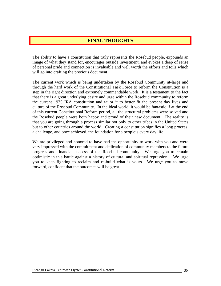### **FINAL THOUGHTS**

The ability to have a constitution that truly represents the Rosebud people, expounds an image of what they stand for, encourages outside investment, and evokes a deep of sense of personal pride and connection is invaluable and well worth the efforts and toils which will go into crafting the precious document.

step in the right direction and extremely commendable work. It is a testament to the fact that there is a great underlying desire and urge within the Rosebud community to reform The current work which is being undertaken by the Rosebud Community at-large and through the hard work of the Constitutional Task Force to reform the Constitution is a the current 1935 IRA constitution and tailor it to better fit the present day lives and culture of the Rosebud Community. In the ideal world, it would be fantastic if at the end of this current Constitutional Reform period, all the structural problems were solved and the Rosebud people were both happy and proud of their new document. The reality is that you are going through a process similar not only to other tribes in the United States but to other countries around the world. Creating a constitution signifies a long process, a challenge, and once achieved, the foundation for a people's every day life.

progress and financial success of the Rosebud community. We urge you to remain optimistic in this battle against a history of cultural and spiritual repression. We urge We are privileged and honored to have had the opportunity to work with you and were very impressed with the commitment and dedication of community members to the future you to keep fighting to reclaim and re-build what is yours. We urge you to move forward, confident that the outcomes will be great.